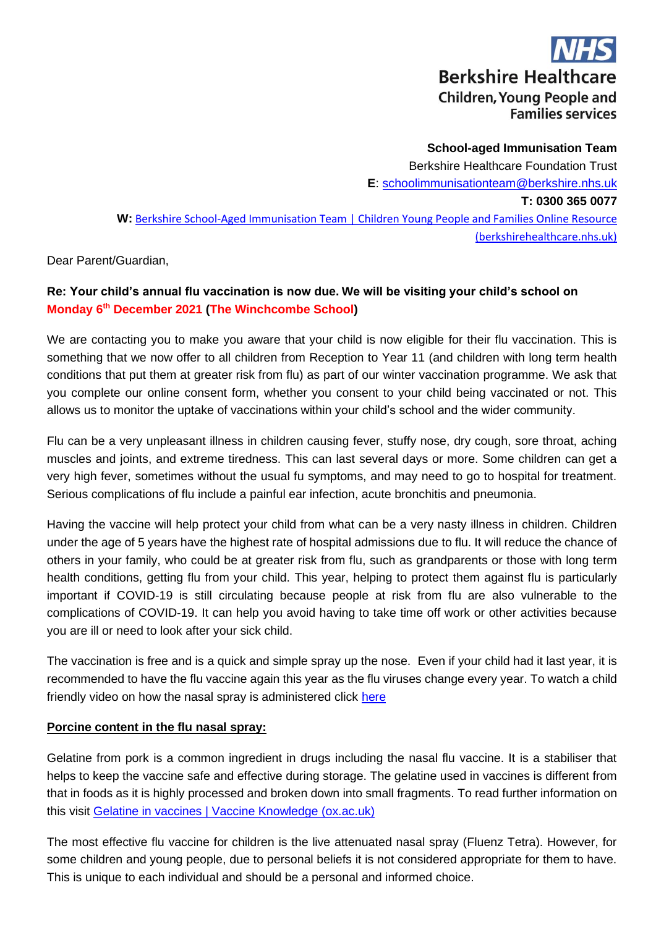**Berkshire Healthcare Children, Young People and Families services** 

**School-aged Immunisation Team** Berkshire Healthcare Foundation Trust **E**: [schoolimmunisationteam@berkshire.nhs.uk](mailto:schoolimmunisationteam@berkshire.nhs.uk) **T: 0300 365 0077 W:** [Berkshire School-Aged Immunisation Team | Children Young People and Families Online Resource](https://cypf.berkshirehealthcare.nhs.uk/our-services/public-health-nursing-health-visiting-school-nursing-immunisation/berkshire-school-aged-immunisation-team/)  [\(berkshirehealthcare.nhs.uk\)](https://cypf.berkshirehealthcare.nhs.uk/our-services/public-health-nursing-health-visiting-school-nursing-immunisation/berkshire-school-aged-immunisation-team/)

Dear Parent/Guardian,

# **Re: Your child's annual flu vaccination is now due. We will be visiting your child's school on Monday 6th December 2021 (The Winchcombe School)**

We are contacting you to make you aware that your child is now eligible for their flu vaccination. This is something that we now offer to all children from Reception to Year 11 (and children with long term health conditions that put them at greater risk from flu) as part of our winter vaccination programme. We ask that you complete our online consent form, whether you consent to your child being vaccinated or not. This allows us to monitor the uptake of vaccinations within your child's school and the wider community.

Flu can be a very unpleasant illness in children causing fever, stuffy nose, dry cough, sore throat, aching muscles and joints, and extreme tiredness. This can last several days or more. Some children can get a very high fever, sometimes without the usual fu symptoms, and may need to go to hospital for treatment. Serious complications of flu include a painful ear infection, acute bronchitis and pneumonia.

Having the vaccine will help protect your child from what can be a very nasty illness in children. Children under the age of 5 years have the highest rate of hospital admissions due to flu. It will reduce the chance of others in your family, who could be at greater risk from flu, such as grandparents or those with long term health conditions, getting flu from your child. This year, helping to protect them against flu is particularly important if COVID-19 is still circulating because people at risk from flu are also vulnerable to the complications of COVID-19. It can help you avoid having to take time off work or other activities because you are ill or need to look after your sick child.

The vaccination is free and is a quick and simple spray up the nose. Even if your child had it last year, it is recommended to have the flu vaccine again this year as the flu viruses change every year. To watch a child friendly video on how the nasal spray is administered click [here](https://www.youtube.com/watch?v=1jHWwm8NQUw)

## **Porcine content in the flu nasal spray:**

Gelatine from pork is a common ingredient in drugs including the nasal flu vaccine. It is a stabiliser that helps to keep the vaccine safe and effective during storage. The gelatine used in vaccines is different from that in foods as it is highly processed and broken down into small fragments. To read further information on this visit [Gelatine in vaccines | Vaccine Knowledge \(ox.ac.uk\)](https://vk.ovg.ox.ac.uk/vk/gelatine)

The most effective flu vaccine for children is the live attenuated nasal spray (Fluenz Tetra). However, for some children and young people, due to personal beliefs it is not considered appropriate for them to have. This is unique to each individual and should be a personal and informed choice.